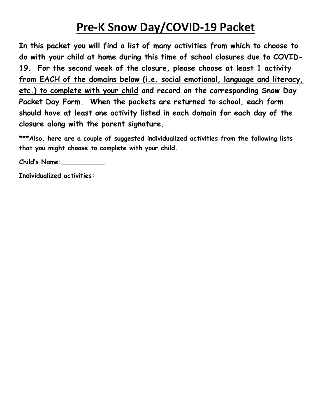### **Pre-K Snow Day/COVID-19 Packet**

**In this packet you will find a list of many activities from which to choose to do with your child at home during this time of school closures due to COVID-19. For the second week of the closure, please choose at least 1 activity from EACH of the domains below (i.e. social emotional, language and literacy, etc.) to complete with your child and record on the corresponding Snow Day Packet Day Form. When the packets are returned to school, each form should have at least one activity listed in each domain for each day of the closure along with the parent signature.** 

\*\*\*Also, here are a couple of suggested individualized activities from the following lists **that you might choose to complete with your child.**

**Child's Name:\_\_\_\_\_\_\_\_\_\_\_**

**Individualized activities:**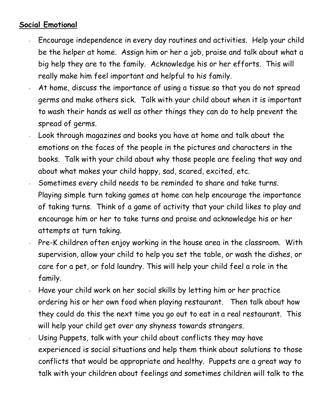### **Social Emotional**

- Encourage independence in every day routines and activities. Help your child be the helper at home. Assign him or her a job, praise and talk about what a big help they are to the family. Acknowledge his or her efforts. This will really make him feel important and helpful to his family.
- At home, discuss the importance of using a tissue so that you do not spread germs and make others sick. Talk with your child about when it is important to wash their hands as well as other things they can do to help prevent the spread of germs.
- Look through magazines and books you have at home and talk about the emotions on the faces of the people in the pictures and characters in the books. Talk with your child about why those people are feeling that way and about what makes your child happy, sad, scared, excited, etc.
- Sometimes every child needs to be reminded to share and take turns. Playing simple turn taking games at home can help encourage the importance of taking turns. Think of a game of activity that your child likes to play and encourage him or her to take turns and praise and acknowledge his or her attempts at turn taking.
- Pre-K children often enjoy working in the house area in the classroom. With supervision, allow your child to help you set the table, or wash the dishes, or care for a pet, or fold laundry. This will help your child feel a role in the family.
- Have your child work on her social skills by letting him or her practice ordering his or her own food when playing restaurant. Then talk about how they could do this the next time you go out to eat in a real restaurant. This will help your child get over any shyness towards strangers.
- Using Puppets, talk with your child about conflicts they may have experienced is social situations and help them think about solutions to those conflicts that would be appropriate and healthy. Puppets are a great way to talk with your children about feelings and sometimes children will talk to the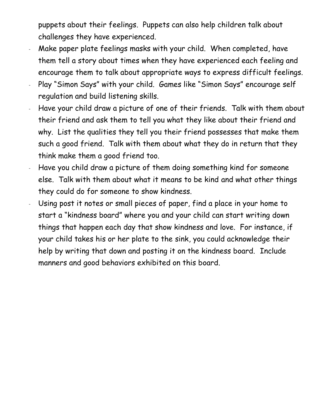puppets about their feelings. Puppets can also help children talk about challenges they have experienced.

- Make paper plate feelings masks with your child. When completed, have them tell a story about times when they have experienced each feeling and encourage them to talk about appropriate ways to express difficult feelings.
- Play "Simon Says" with your child. Games like "Simon Says" encourage self regulation and build listening skills.
- Have your child draw a picture of one of their friends. Talk with them about their friend and ask them to tell you what they like about their friend and why. List the qualities they tell you their friend possesses that make them such a good friend. Talk with them about what they do in return that they think make them a good friend too.
- Have you child draw a picture of them doing something kind for someone else. Talk with them about what it means to be kind and what other things they could do for someone to show kindness.
- Using post it notes or small pieces of paper, find a place in your home to start a "kindness board" where you and your child can start writing down things that happen each day that show kindness and love. For instance, if your child takes his or her plate to the sink, you could acknowledge their help by writing that down and posting it on the kindness board. Include manners and good behaviors exhibited on this board.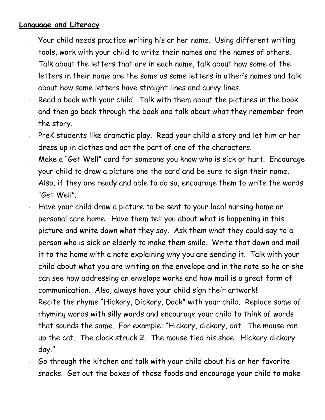#### **Language and Literacy**

- Your child needs practice writing his or her name. Using different writing tools, work with your child to write their names and the names of others. Talk about the letters that are in each name, talk about how some of the letters in their name are the same as some letters in other's names and talk about how some letters have straight lines and curvy lines.
- Read a book with your child. Talk with them about the pictures in the book and then go back through the book and talk about what they remember from the story.
- PreK students like dramatic play. Read your child a story and let him or her dress up in clothes and act the part of one of the characters.
- Make a "Get Well" card for someone you know who is sick or hurt. Encourage your child to draw a picture one the card and be sure to sign their name. Also, if they are ready and able to do so, encourage them to write the words "Get Well".
- Have your child draw a picture to be sent to your local nursing home or personal care home. Have them tell you about what is happening in this picture and write down what they say. Ask them what they could say to a person who is sick or elderly to make them smile. Write that down and mail it to the home with a note explaining why you are sending it. Talk with your child about what you are writing on the envelope and in the note so he or she can see how addressing an envelope works and how mail is a great form of communication. Also, always have your child sign their artwork!!
- Recite the rhyme "Hickory, Dickory, Dock" with your child. Replace some of rhyming words with silly words and encourage your child to think of words that sounds the same. For example: "Hickory, dickory, dat. The mouse ran up the cat. The clock struck 2. The mouse tied his shoe. Hickory dickory day."
- Go through the kitchen and talk with your child about his or her favorite snacks. Get out the boxes of those foods and encourage your child to make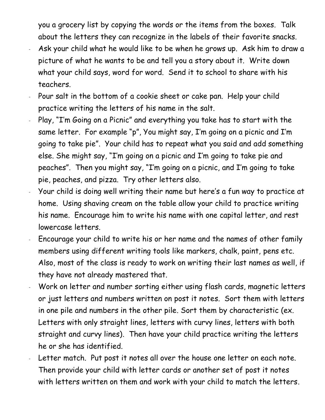you a grocery list by copying the words or the items from the boxes. Talk about the letters they can recognize in the labels of their favorite snacks.

- Ask your child what he would like to be when he grows up. Ask him to draw a picture of what he wants to be and tell you a story about it. Write down what your child says, word for word. Send it to school to share with his teachers.
- Pour salt in the bottom of a cookie sheet or cake pan. Help your child practice writing the letters of his name in the salt.
- Play, "I'm Going on a Picnic" and everything you take has to start with the same letter. For example "p", You might say, I'm going on a picnic and I'm going to take pie". Your child has to repeat what you said and add something else. She might say, "I'm going on a picnic and I'm going to take pie and peaches". Then you might say, "I'm going on a picnic, and I'm going to take pie, peaches, and pizza. Try other letters also.
- Your child is doing well writing their name but here's a fun way to practice at home. Using shaving cream on the table allow your child to practice writing his name. Encourage him to write his name with one capital letter, and rest lowercase letters.
- Encourage your child to write his or her name and the names of other family members using different writing tools like markers, chalk, paint, pens etc. Also, most of the class is ready to work on writing their last names as well, if they have not already mastered that.
- Work on letter and number sorting either using flash cards, magnetic letters or just letters and numbers written on post it notes. Sort them with letters in one pile and numbers in the other pile. Sort them by characteristic (ex. Letters with only straight lines, letters with curvy lines, letters with both straight and curvy lines). Then have your child practice writing the letters he or she has identified.
- Letter match. Put post it notes all over the house one letter on each note. Then provide your child with letter cards or another set of post it notes with letters written on them and work with your child to match the letters.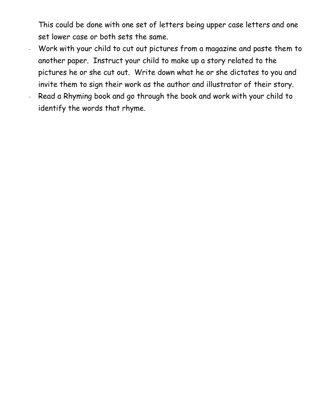This could be done with one set of letters being upper case letters and one set lower case or both sets the same.

- Work with your child to cut out pictures from a magazine and paste them to another paper. Instruct your child to make up a story related to the pictures he or she cut out. Write down what he or she dictates to you and invite them to sign their work as the author and illustrator of their story.
- Read a Rhyming book and go through the book and work with your child to identify the words that rhyme.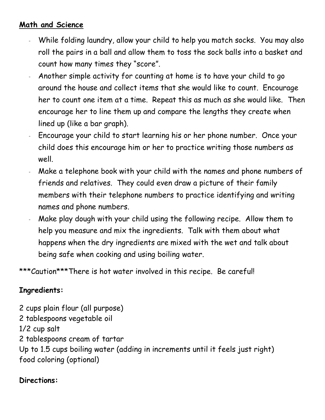#### **Math and Science**

- While folding laundry, allow your child to help you match socks. You may also roll the pairs in a ball and allow them to toss the sock balls into a basket and count how many times they "score".
- Another simple activity for counting at home is to have your child to go around the house and collect items that she would like to count. Encourage her to count one item at a time. Repeat this as much as she would like. Then encourage her to line them up and compare the lengths they create when lined up (like a bar graph).
- Encourage your child to start learning his or her phone number. Once your child does this encourage him or her to practice writing those numbers as well.
- Make a telephone book with your child with the names and phone numbers of friends and relatives. They could even draw a picture of their family members with their telephone numbers to practice identifying and writing names and phone numbers.
- Make play dough with your child using the following recipe. Allow them to help you measure and mix the ingredients. Talk with them about what happens when the dry ingredients are mixed with the wet and talk about being safe when cooking and using boiling water.

\*\*\*Caution\*\*\*There is hot water involved in this recipe. Be careful!

### **Ingredients:**

2 cups plain flour (all purpose) 2 tablespoons vegetable oil 1/2 cup salt 2 tablespoons cream of tartar Up to 1.5 cups boiling water (adding in increments until it feels just right) food coloring (optional)

#### **Directions:**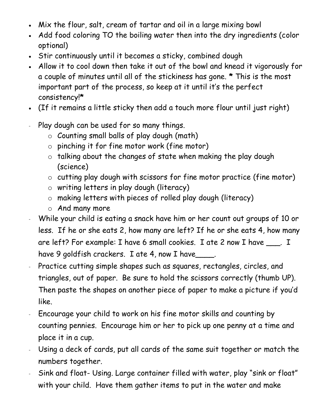- Mix the flour, salt, cream of tartar and oil in a large mixing bowl
- Add food coloring TO the boiling water then into the dry ingredients (color optional)
- Stir continuously until it becomes a sticky, combined dough
- Allow it to cool down then take it out of the bowl and knead it vigorously for a couple of minutes until all of the stickiness has gone. **\*** This is the most important part of the process, so keep at it until it's the perfect consistency!**\***
- (If it remains a little sticky then add a touch more flour until just right)
- Play dough can be used for so many things.
	- $\circ$  Counting small balls of play dough (math)
	- $\circ$  pinching it for fine motor work (fine motor)
	- o talking about the changes of state when making the play dough (science)
	- o cutting play dough with scissors for fine motor practice (fine motor)
	- o writing letters in play dough (literacy)
	- o making letters with pieces of rolled play dough (literacy)
	- o And many more
- While your child is eating a snack have him or her count out groups of 10 or less. If he or she eats 2, how many are left? If he or she eats 4, how many are left? For example: I have 6 small cookies. I ate 2 now I have \_\_\_. I have 9 goldfish crackers. I ate 4, now I have
- Practice cutting simple shapes such as squares, rectangles, circles, and triangles, out of paper. Be sure to hold the scissors correctly (thumb UP). Then paste the shapes on another piece of paper to make a picture if you'd like.
- Encourage your child to work on his fine motor skills and counting by counting pennies. Encourage him or her to pick up one penny at a time and place it in a cup.
- Using a deck of cards, put all cards of the same suit together or match the numbers together.
- Sink and float- Using. Large container filled with water, play "sink or float" with your child. Have them gather items to put in the water and make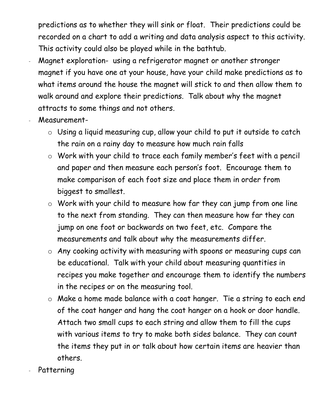predictions as to whether they will sink or float. Their predictions could be recorded on a chart to add a writing and data analysis aspect to this activity. This activity could also be played while in the bathtub.

- Magnet exploration- using a refrigerator magnet or another stronger magnet if you have one at your house, have your child make predictions as to what items around the house the magnet will stick to and then allow them to walk around and explore their predictions. Talk about why the magnet attracts to some things and not others.
- Measurement
	- o Using a liquid measuring cup, allow your child to put it outside to catch the rain on a rainy day to measure how much rain falls
	- o Work with your child to trace each family member's feet with a pencil and paper and then measure each person's foot. Encourage them to make comparison of each foot size and place them in order from biggest to smallest.
	- $\circ$  Work with your child to measure how far they can jump from one line to the next from standing. They can then measure how far they can jump on one foot or backwards on two feet, etc. Compare the measurements and talk about why the measurements differ.
	- o Any cooking activity with measuring with spoons or measuring cups can be educational. Talk with your child about measuring quantities in recipes you make together and encourage them to identify the numbers in the recipes or on the measuring tool.
	- o Make a home made balance with a coat hanger. Tie a string to each end of the coat hanger and hang the coat hanger on a hook or door handle. Attach two small cups to each string and allow them to fill the cups with various items to try to make both sides balance. They can count the items they put in or talk about how certain items are heavier than others.
- Patterning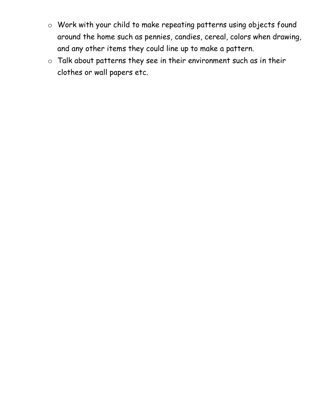- o Work with your child to make repeating patterns using objects found around the home such as pennies, candies, cereal, colors when drawing, and any other items they could line up to make a pattern.
- o Talk about patterns they see in their environment such as in their clothes or wall papers etc.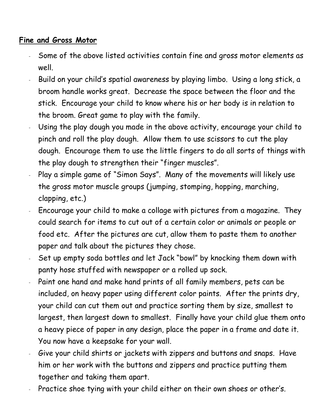#### **Fine and Gross Motor**

- Some of the above listed activities contain fine and gross motor elements as well.
- Build on your child's spatial awareness by playing limbo. Using a long stick, a broom handle works great. Decrease the space between the floor and the stick. Encourage your child to know where his or her body is in relation to the broom. Great game to play with the family.
- Using the play dough you made in the above activity, encourage your child to pinch and roll the play dough. Allow them to use scissors to cut the play dough. Encourage them to use the little fingers to do all sorts of things with the play dough to strengthen their "finger muscles".
- Play a simple game of "Simon Says". Many of the movements will likely use the gross motor muscle groups (jumping, stomping, hopping, marching, clapping, etc.)
- Encourage your child to make a collage with pictures from a magazine. They could search for items to cut out of a certain color or animals or people or food etc. After the pictures are cut, allow them to paste them to another paper and talk about the pictures they chose.
- Set up empty soda bottles and let Jack "bowl" by knocking them down with panty hose stuffed with newspaper or a rolled up sock.
- Paint one hand and make hand prints of all family members, pets can be included, on heavy paper using different color paints. After the prints dry, your child can cut them out and practice sorting them by size, smallest to largest, then largest down to smallest. Finally have your child glue them onto a heavy piece of paper in any design, place the paper in a frame and date it. You now have a keepsake for your wall.
- Give your child shirts or jackets with zippers and buttons and snaps. Have him or her work with the buttons and zippers and practice putting them together and taking them apart.
- Practice shoe tying with your child either on their own shoes or other's.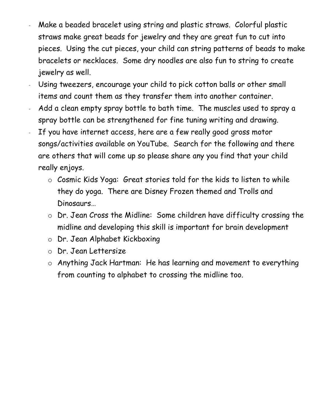- Make a beaded bracelet using string and plastic straws. Colorful plastic straws make great beads for jewelry and they are great fun to cut into pieces. Using the cut pieces, your child can string patterns of beads to make bracelets or necklaces. Some dry noodles are also fun to string to create jewelry as well.
- Using tweezers, encourage your child to pick cotton balls or other small items and count them as they transfer them into another container.
- Add a clean empty spray bottle to bath time. The muscles used to spray a spray bottle can be strengthened for fine tuning writing and drawing.
- If you have internet access, here are a few really good gross motor songs/activities available on YouTube. Search for the following and there are others that will come up so please share any you find that your child really enjoys.
	- o Cosmic Kids Yoga: Great stories told for the kids to listen to while they do yoga. There are Disney Frozen themed and Trolls and Dinosaurs…
	- o Dr. Jean Cross the Midline: Some children have difficulty crossing the midline and developing this skill is important for brain development
	- o Dr. Jean Alphabet Kickboxing
	- o Dr. Jean Lettersize
	- o Anything Jack Hartman: He has learning and movement to everything from counting to alphabet to crossing the midline too.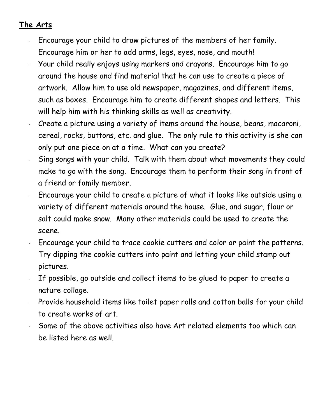#### **The Arts**

- Encourage your child to draw pictures of the members of her family. Encourage him or her to add arms, legs, eyes, nose, and mouth!
- Your child really enjoys using markers and crayons. Encourage him to go around the house and find material that he can use to create a piece of artwork. Allow him to use old newspaper, magazines, and different items, such as boxes. Encourage him to create different shapes and letters. This will help him with his thinking skills as well as creativity.
- Create a picture using a variety of items around the house, beans, macaroni, cereal, rocks, buttons, etc. and glue. The only rule to this activity is she can only put one piece on at a time. What can you create?
- Sing songs with your child. Talk with them about what movements they could make to go with the song. Encourage them to perform their song in front of a friend or family member.
- Encourage your child to create a picture of what it looks like outside using a variety of different materials around the house. Glue, and sugar, flour or salt could make snow. Many other materials could be used to create the scene.
- Encourage your child to trace cookie cutters and color or paint the patterns. Try dipping the cookie cutters into paint and letting your child stamp out pictures.
- If possible, go outside and collect items to be glued to paper to create a nature collage.
- Provide household items like toilet paper rolls and cotton balls for your child to create works of art.
- Some of the above activities also have Art related elements too which can be listed here as well.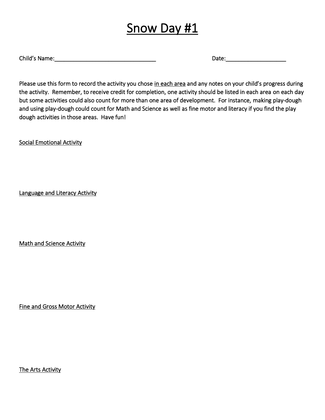Child's Name:\_\_\_\_\_\_\_\_\_\_\_\_\_\_\_\_\_\_\_\_\_\_\_\_\_\_\_\_\_\_\_\_ Date:\_\_\_\_\_\_\_\_\_\_\_\_\_\_\_\_\_\_\_

Please use this form to record the activity you chose in each area and any notes on your child's progress during the activity. Remember, to receive credit for completion, one activity should be listed in each area on each day but some activities could also count for more than one area of development. For instance, making play-dough and using play-dough could count for Math and Science as well as fine motor and literacy if you find the play dough activities in those areas. Have fun!

Social Emotional Activity

Language and Literacy Activity

Math and Science Activity

Fine and Gross Motor Activity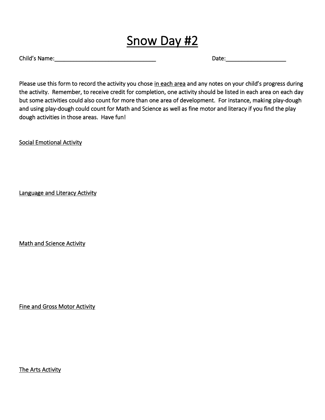Child's Name: The Child's Name: The Child's Name: The Child's Name: The Child's Name: The Child's Name: The Child

Please use this form to record the activity you chose in each area and any notes on your child's progress during the activity. Remember, to receive credit for completion, one activity should be listed in each area on each day but some activities could also count for more than one area of development. For instance, making play-dough and using play-dough could count for Math and Science as well as fine motor and literacy if you find the play dough activities in those areas. Have fun!

Social Emotional Activity

Language and Literacy Activity

Math and Science Activity

Fine and Gross Motor Activity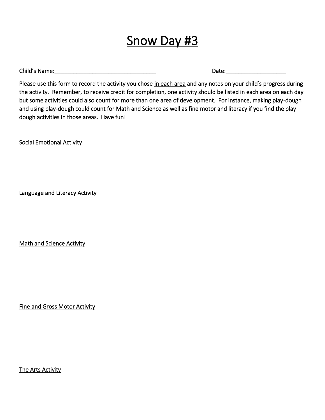Child's Name: The contract of the contract of the contract of the contract of the contract of the contract of the contract of the contract of the contract of the contract of the contract of the contract of the contract of

Please use this form to record the activity you chose in each area and any notes on your child's progress during the activity. Remember, to receive credit for completion, one activity should be listed in each area on each day but some activities could also count for more than one area of development. For instance, making play-dough and using play-dough could count for Math and Science as well as fine motor and literacy if you find the play dough activities in those areas. Have fun!

Social Emotional Activity

Language and Literacy Activity

Math and Science Activity

Fine and Gross Motor Activity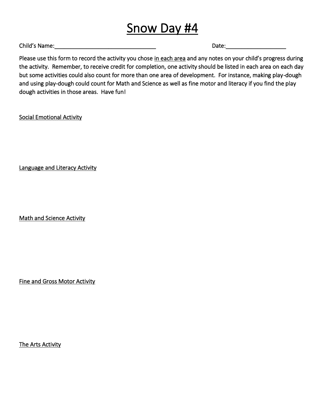Child's Name: The Contract of the Contract of the Contract of Contract of Contract of Contract of Contract of Contract of Contract of Contract of Contract of Contract of Contract of Contract of Contract of Contract of Cont

Please use this form to record the activity you chose in each area and any notes on your child's progress during the activity. Remember, to receive credit for completion, one activity should be listed in each area on each day but some activities could also count for more than one area of development. For instance, making play-dough and using play-dough could count for Math and Science as well as fine motor and literacy if you find the play dough activities in those areas. Have fun!

Social Emotional Activity

Language and Literacy Activity

Math and Science Activity

Fine and Gross Motor Activity